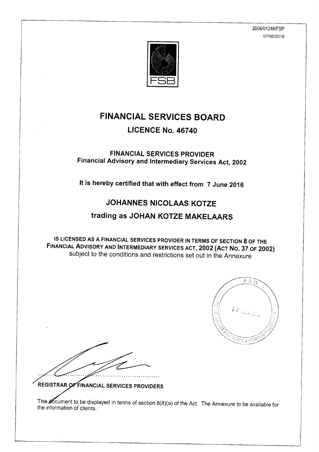2006/01248/FSP 07/06/2016



# **FINANCIAL SERVICES BOARD**

### LICENCE No. 46740

### **FINANCIAL SERVICES PROVIDER** Financial Advisory and Intermediary Services Act, 2002

It is hereby certified that with effect from 7 June 2016

### **JOHANNES NICOLAAS KOTZF**

## trading as JOHAN KOTZE MAKELAARS

IS LICENSED AS A FINANCIAL SERVICES PROVIDER IN TERMS OF SECTION 8 OF THE FINANCIAL ADVISORY AND INTERMEDIARY SERVICES ACT, 2002 (ACT NO. 37 OF 2002) subject to the conditions and restrictions set out in the Annexure



REGISTRAR OF FINANCIAL SERVICES PROVIDERS

This accument to be displayed in terms of section 8(8)(a) of the Act. The Annexure to be available for the information of clients.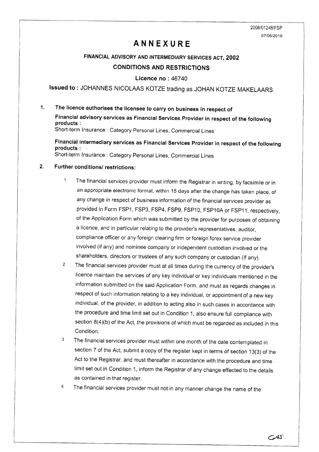2006/01248/FSP 07/06/2016

### ANNEXURE

#### FINANCIAL ADVISORY AND INTERMEDIARY SERVICES ACT,2OO2

#### CONDITIONS AND RESTRICTIONS

Licence no: 46740

Issued to: JOHANNES NICOLAAS KOTZE trading as JOHAN KOTZE MAKELAARS

#### 1. The licence authorises the licensee to carry on business in respect of

Financial advisory services as Financial Services Provider in respect of the following products : short-term lnsurance : category personal Lines, commercial Lines

Financial intermediary services as Financial Services Provider in respect of the following products : short-term Insurance : category personal Lines, commercial Lines

#### Further conditions/ restrictions: 2.

- $\mathbf{1}$ The financial services provider must inform the Registrar in writing, byfacsimile or in an appropriate electronic format, within 15 days after the change has taken place, of any change in respect of business information of the financial services provider as provided in Form FSP1, FSP3, FSP4, FSP9, FSP10, FSP10A or FSP11, respectively, of the Application Form which was submitted by the provider for purposes of obtaining a licence, and in particular relating to the provider's representatives, auditor, compliance officer or any foreign clearing firm or foreign forex service provider involved (if any) and nominee company or independent custodian involved or the shareholders, directors or trustees of any such company or custodian (If any).
- $\overline{2}$ The financial services provider must at all times during the currency of the provider's licence maintain the services of any key individual or key individuals mentioned in the information submitted on the said Application Form, and must as regards changes in respect of such information relating to a key individual, or appointment of a new key individual, of the provider, in addition to acting also in such cases in accordance with the procedure and time limit set out in Condition 1, also ensure full compliance with section 8(4)(b) of the Act, the provisions of which must be regarded as included in this Condition.
- $\overline{3}$ The financial services provider must within one month of the date contemplated in section 7 of the Act, submit a copy of the register kept in terms of section 13(3) of the Act to the Registrar, and must thereafter in accordance with the procedure and time limit set out in Condition 1, inform the Registrar of any change effected to the details as contained in that register.
- $\overline{4}$ The financial services provider must not in any manner change the name of the

c/4s